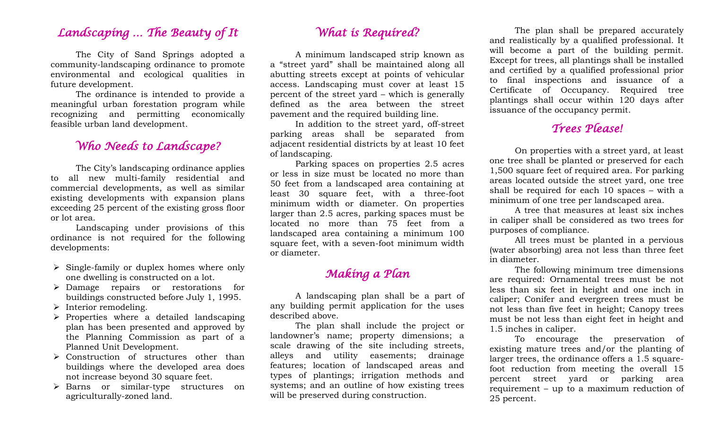### *Landscaping … The Beauty of It*

The City of Sand Springs adopted a community-landscaping ordinance to promote environmental and ecological qualities in future development.

The ordinance is intended to provide a meaningful urban forestation program while recognizing and permitting economically feasible urban land development.

## *Who Needs to Landscape?*

The City's landscaping ordinance applies to all new multi-family residential and commercial developments, as well as similar existing developments with expansion plans exceeding 25 percent of the existing gross floor or lot area.

Landscaping under provisions of this ordinance is not required for the following developments:

- $\triangleright$  Single-family or duplex homes where only one dwelling is constructed on a lot.
- Damage repairs or restorations for buildings constructed before July 1, 1995.
- $\triangleright$  Interior remodeling.
- $\triangleright$  Properties where a detailed landscaping plan has been presented and approved by the Planning Commission as part of a Planned Unit Development.
- $\triangleright$  Construction of structures other than buildings where the developed area does not increase beyond 30 square feet.
- > Barns or similar-type structures on agriculturally-zoned land.

## *What is Required?*

A minimum landscaped strip known as a "street yard" shall be maintained along all abutting streets except at points of vehicular access. Landscaping must cover at least 15 percent of the street yard – which is generally defined as the area between the street pavement and the required building line.

In addition to the street yard, off-street parking areas shall be separated from adjacent residential districts by at least 10 feet of landscaping.

Parking spaces on properties 2.5 acres or less in size must be located no more than 50 feet from a landscaped area containing at least 30 square feet, with a three-foot minimum width or diameter. On properties larger than 2.5 acres, parking spaces must be located no more than 75 feet from a landscaped area containing a minimum 100 square feet, with a seven-foot minimum width or diameter.

# *Making a Plan*

A landscaping plan shall be a part of any building permit application for the uses described above.

The plan shall include the project or landowner's name; property dimensions; a scale drawing of the site including streets, alleys and utility easements; drainage features; location of landscaped areas and types of plantings; irrigation methods and systems; and an outline of how existing trees will be preserved during construction.

The plan shall be prepared accurately and realistically by a qualified professional. It will become a part of the building permit. Except for trees, all plantings shall be installed and certified by a qualified professional prior to final inspections and issuance of a Certificate of Occupancy. Required tree plantings shall occur within 120 days after issuance of the occupancy permit.

# *Trees Please!*

On properties with a street yard, at least one tree shall be planted or preserved for each 1,500 square feet of required area. For parking areas located outside the street yard, one tree shall be required for each 10 spaces – with a minimum of one tree per landscaped area.

A tree that measures at least six inches in caliper shall be considered as two trees for purposes of compliance.

All trees must be planted in a pervious (water absorbing) area not less than three feet in diameter.

The following minimum tree dimensions are required: Ornamental trees must be not less than six feet in height and one inch in caliper; Conifer and evergreen trees must be not less than five feet in height; Canopy trees must be not less than eight feet in height and 1.5 inches in caliper.

To encourage the preservation of existing mature trees and/or the planting of larger trees, the ordinance offers a 1.5 squarefoot reduction from meeting the overall 15 percent street yard or parking area requirement – up to a maximum reduction of 25 percent.